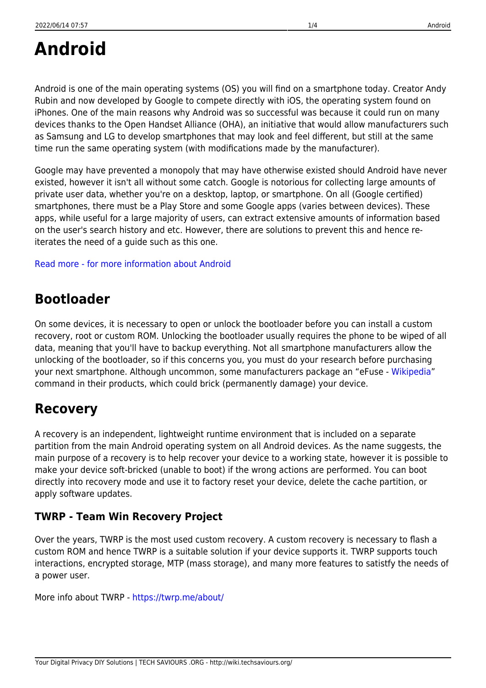# **Android**

Android is one of the main operating systems (OS) you will find on a smartphone today. Creator Andy Rubin and now developed by Google to compete directly with iOS, the operating system found on iPhones. One of the main reasons why Android was so successful was because it could run on many devices thanks to the Open Handset Alliance (OHA), an initiative that would allow manufacturers such as Samsung and LG to develop smartphones that may look and feel different, but still at the same time run the same operating system (with modifications made by the manufacturer).

Google may have prevented a monopoly that may have otherwise existed should Android have never existed, however it isn't all without some catch. Google is notorious for collecting large amounts of private user data, whether you're on a desktop, laptop, or smartphone. On all (Google certified) smartphones, there must be a Play Store and some Google apps (varies between devices). These apps, while useful for a large majority of users, can extract extensive amounts of information based on the user's search history and etc. However, there are solutions to prevent this and hence reiterates the need of a guide such as this one.

#### [Read more - for more information about Android](#page--1-0)

### **Bootloader**

On some devices, it is necessary to open or unlock the bootloader before you can install a custom recovery, root or custom ROM. Unlocking the bootloader usually requires the phone to be wiped of all data, meaning that you'll have to backup everything. Not all smartphone manufacturers allow the unlocking of the bootloader, so if this concerns you, you must do your research before purchasing your next smartphone. Although uncommon, some manufacturers package an "eFuse - [Wikipedia](https://en.wikipedia.org/wiki/EFUSE)" command in their products, which could brick (permanently damage) your device.

#### **Recovery**

A recovery is an independent, lightweight runtime environment that is included on a separate partition from the main Android operating system on all Android devices. As the name suggests, the main purpose of a recovery is to help recover your device to a working state, however it is possible to make your device soft-bricked (unable to boot) if the wrong actions are performed. You can boot directly into recovery mode and use it to factory reset your device, delete the cache partition, or apply software updates.

#### **TWRP - Team Win Recovery Project**

Over the years, TWRP is the most used custom recovery. A custom recovery is necessary to flash a custom ROM and hence TWRP is a suitable solution if your device supports it. TWRP supports touch interactions, encrypted storage, MTP (mass storage), and many more features to satistfy the needs of a power user.

More info about TWRP -<https://twrp.me/about/>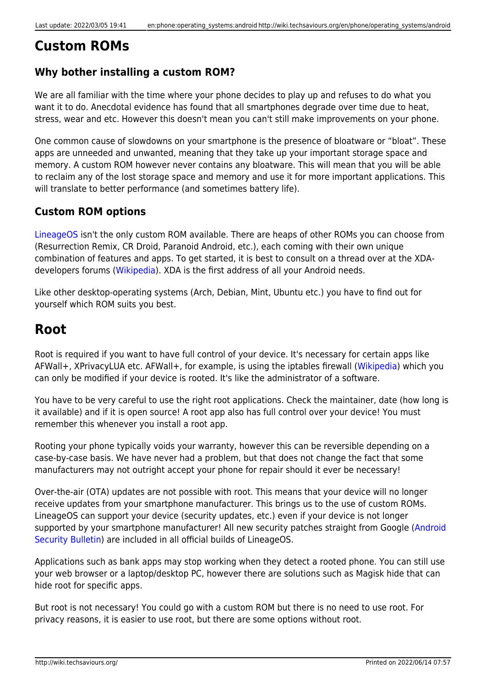#### **Custom ROMs**

#### **Why bother installing a custom ROM?**

We are all familiar with the time where your phone decides to play up and refuses to do what you want it to do. Anecdotal evidence has found that all smartphones degrade over time due to heat, stress, wear and etc. However this doesn't mean you can't still make improvements on your phone.

One common cause of slowdowns on your smartphone is the presence of bloatware or "bloat". These apps are unneeded and unwanted, meaning that they take up your important storage space and memory. A custom ROM however never contains any bloatware. This will mean that you will be able to reclaim any of the lost storage space and memory and use it for more important applications. This will translate to better performance (and sometimes battery life).

#### **Custom ROM options**

[LineageOS](https://lineageos.org/) isn't the only custom ROM available. There are heaps of other ROMs you can choose from (Resurrection Remix, CR Droid, Paranoid Android, etc.), each coming with their own unique combination of features and apps. To get started, it is best to consult on a thread over at the XDAdevelopers forums [\(Wikipedia\)](https://en.wikipedia.org/wiki/XDA_Developers). XDA is the first address of all your Android needs.

Like other desktop-operating systems (Arch, Debian, Mint, Ubuntu etc.) you have to find out for yourself which ROM suits you best.

### **Root**

Root is required if you want to have full control of your device. It's necessary for certain apps like AFWall+, XPrivacyLUA etc. AFWall+, for example, is using the iptables firewall [\(Wikipedia\)](https://en.wikipedia.org/wiki/Iptables) which you can only be modified if your device is rooted. It's like the administrator of a software.

You have to be very careful to use the right root applications. Check the maintainer, date (how long is it available) and if it is open source! A root app also has full control over your device! You must remember this whenever you install a root app.

Rooting your phone typically voids your warranty, however this can be reversible depending on a case-by-case basis. We have never had a problem, but that does not change the fact that some manufacturers may not outright accept your phone for repair should it ever be necessary!

Over-the-air (OTA) updates are not possible with root. This means that your device will no longer receive updates from your smartphone manufacturer. This brings us to the use of custom ROMs. LineageOS can support your device (security updates, etc.) even if your device is not longer supported by your smartphone manufacturer! All new security patches straight from Google [\(Android](https://source.android.com/security/bulletin) [Security Bulletin\)](https://source.android.com/security/bulletin) are included in all official builds of LineageOS.

Applications such as bank apps may stop working when they detect a rooted phone. You can still use your web browser or a laptop/desktop PC, however there are solutions such as Magisk hide that can hide root for specific apps.

But root is not necessary! You could go with a custom ROM but there is no need to use root. For privacy reasons, it is easier to use root, but there are some options without root.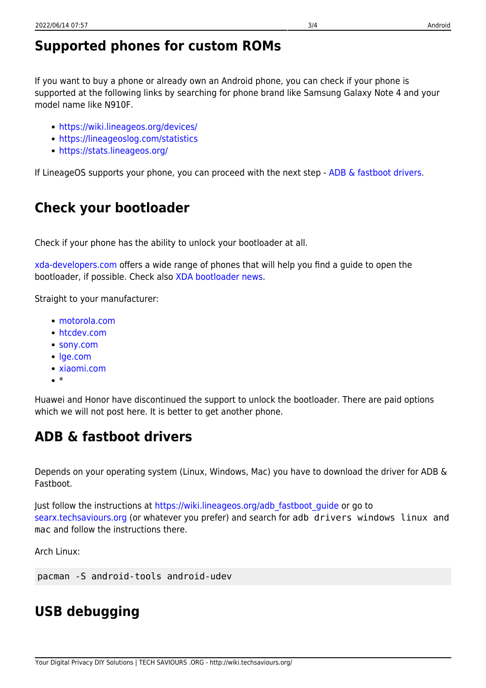### **Supported phones for custom ROMs**

If you want to buy a phone or already own an Android phone, you can check if your phone is supported at the following links by searching for phone brand like Samsung Galaxy Note 4 and your model name like N910F.

- <https://wiki.lineageos.org/devices/>
- <https://lineageoslog.com/statistics>
- <https://stats.lineageos.org/>

If LineageOS supports your phone, you can proceed with the next step - [ADB & fastboot drivers](#page-2-0).

### **Check your bootloader**

Check if your phone has the ability to unlock your bootloader at all.

[xda-developers.com](https://forum.xda-developers.com/) offers a wide range of phones that will help you find a guide to open the bootloader, if possible. Check also [XDA bootloader news.](https://www.xda-developers.com/tag/bootloader/)

Straight to your manufacturer:

- [motorola.com](https://motorola-global-portal.custhelp.com/app/standalone/bootloader/unlock-your-device-b)
- [htcdev.com](https://www.htcdev.com/bootloader)
- [sony.com](https://developer.sony.com/develop/open-devices/get-started/unlock-bootloader/how-to-unlock-bootloader/#bootloader_guide)
- lae.com
- [xiaomi.com](https://account.xiaomi.com/pass/serviceLogin?callback=http%3A%2F%2Fwww.miui.com%2Fextra.php%3Fmod%3Dxiaomi%2Fauthcallback%26followup%3Dhttp%253A%252F%252Fwww.miui.com%252Funlock%252Fapply.php%26sign%3DYzdhOGVjM2ExNDg0YWJlMGUyYTk4NTUwZDY4OGIyZmI5ZmFmZjEzMw%2C%2C&sid=miuibbs&_locale=en)
- $\bullet$

Huawei and Honor have discontinued the support to unlock the bootloader. There are paid options which we will not post here. It is better to get another phone.

### <span id="page-2-0"></span>**ADB & fastboot drivers**

Depends on your operating system (Linux, Windows, Mac) you have to download the driver for ADB & Fastboot.

Just follow the instructions at [https://wiki.lineageos.org/adb\\_fastboot\\_guide](https://wiki.lineageos.org/adb_fastboot_guide) or go to [searx.techsaviours.org](https://searx.techsaviours.org/) (or whatever you prefer) and search for adb drivers windows linux and mac and follow the instructions there.

Arch Linux:

pacman -S android-tools android-udev

## **USB debugging**